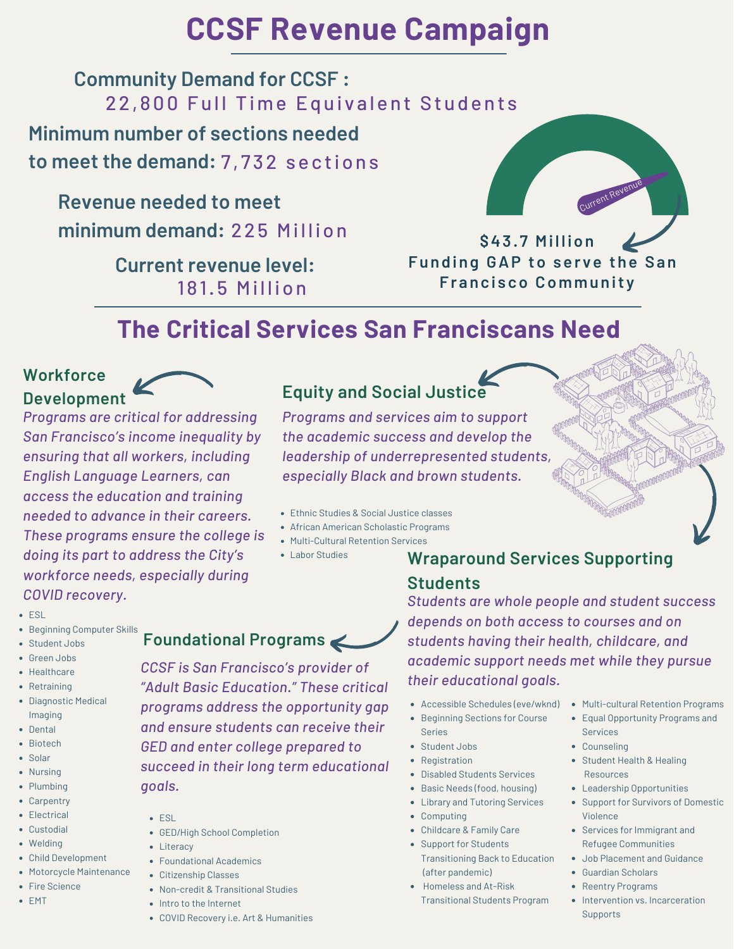# **CCSF Revenue Campaign**

## 22,800 Full Time Equivalent Students **Community Demand for CCSF :**

## **Minimum number of sections needed to meet the demand:** 7 , 7 32 sec tions

### **Revenue needed to meet**

minimum demand: 225 Million

**Current revenue level:** 181.5 Million



**\$43 . 7 Mi l l ion Funding GAP to ser ve the San Fr anc i s co Communit y**

## **The Critical Services San Franciscans Need**

# **Workforce**

# *Programs are critical for addressing*

*San Francisco's income inequality by ensuring that all workers, including English Language Learners, can access the education and training needed to advance in their careers. These programs ensure the college is doing its part to address the City's workforce needs, especially during COVID recovery.*

## **Development Equity and Social Justice**

*Programs and services aim to support the academic success and develop the leadership of underrepresented students, especially Black and brown students.*

- Ethnic Studies & Social Justice classes
- African American Scholastic Programs
- Multi-Cultural Retention Services
- 

### Labor Studies **Wraparound Services Supporting Students**

#### *Students are whole people and student success depends on both access to courses and on students having their health, childcare, and academic support needs met while they pursue their educational goals.*

- Accessible Schedules (eve/wknd)
- Beginning Sections for Course Series
- Student Jobs
- Registration
- Disabled Students Services
- Basic Needs (food, housing)
- Library and Tutoring Services
- Computing
- Childcare & Family Care
- Support for Students Transitioning Back to Education (after pandemic)
- Homeless and At-Risk
- Transitional Students Program
- Multi-cultural Retention Programs
- Equal Opportunity Programs and Services
- Counseling
- Student Health & Healing Resources
- Leadership Opportunities
- Support for Survivors of Domestic Violence
- Services for Immigrant and Refugee Communities
- Job Placement and Guidance
- Guardian Scholars
- Reentry Programs
- Intervention vs. Incarceration Supports

## **• Beginning Computer Skills**

• Student Jobs Green Jobs

ESL

- Healthcare
- Retraining
- Diagnostic Medical Imaging
- Dental • Biotech
- Solar
- Nursing
- Plumbing
- Carpentry
- Electrical
- Custodial
- Welding
- Child Development
- Motorcycle Maintenance
- Fire Science
- EMT
- *CCSF is San Francisco's provider of*
- *"Adult Basic Education." These critical programs address the opportunity gap and ensure students can receive their GED and enter college prepared to succeed in their long term educational goals.*
	- $EST$
	- GED/High School Completion
	- Literacy
	- Foundational Academics
	- Citizenship Classes
	- Non-credit & Transitional Studies
	- Intro to the Internet
	- COVID Recovery i.e. Art & Humanities
- 
- **Foundational Programs**